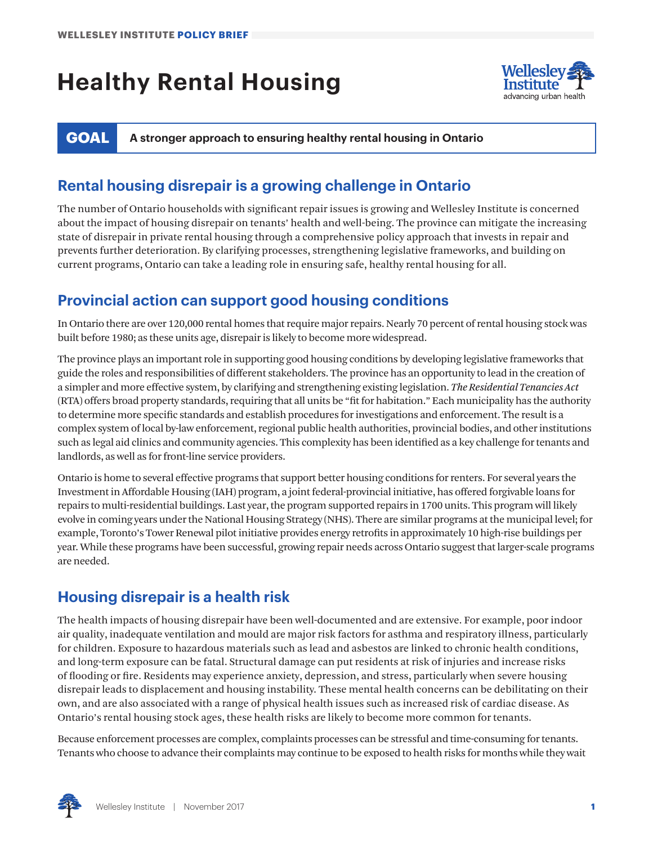# **Healthy Rental Housing**



**GOAL A stronger approach to ensuring healthy rental housing in Ontario** 

### **Rental housing disrepair is a growing challenge in Ontario**

The number of Ontario households with significant repair issues is growing and Wellesley Institute is concerned about the impact of housing disrepair on tenants' health and well-being. The province can mitigate the increasing state of disrepair in private rental housing through a comprehensive policy approach that invests in repair and prevents further deterioration. By clarifying processes, strengthening legislative frameworks, and building on current programs, Ontario can take a leading role in ensuring safe, healthy rental housing for all.

#### **Provincial action can support good housing conditions**

In Ontario there are over 120,000 rental homes that require major repairs. Nearly 70 percent of rental housing stock was built before 1980; as these units age, disrepair is likely to become more widespread.

The province plays an important role in supporting good housing conditions by developing legislative frameworks that guide the roles and responsibilities of different stakeholders. The province has an opportunity to lead in the creation of a simpler and more effective system, by clarifying and strengthening existing legislation. *The Residential Tenancies Act* (RTA) offers broad property standards, requiring that all units be "fit for habitation." Each municipality has the authority to determine more specific standards and establish procedures for investigations and enforcement. The result is a complex system of local by-law enforcement, regional public health authorities, provincial bodies, and other institutions such as legal aid clinics and community agencies. This complexity has been identified as a key challenge for tenants and landlords, as well as for front-line service providers.

Ontario is home to several effective programs that support better housing conditions for renters. For several years the Investment in Affordable Housing (IAH) program, a joint federal-provincial initiative, has offered forgivable loans for repairs to multi-residential buildings. Last year, the program supported repairs in 1700 units. This program will likely evolve in coming years under the National Housing Strategy (NHS). There are similar programs at the municipal level; for example, Toronto's Tower Renewal pilot initiative provides energy retrofits in approximately 10 high-rise buildings per year. While these programs have been successful, growing repair needs across Ontario suggest that larger-scale programs are needed.

#### **Housing disrepair is a health risk**

The health impacts of housing disrepair have been well-documented and are extensive. For example, poor indoor air quality, inadequate ventilation and mould are major risk factors for asthma and respiratory illness, particularly for children. Exposure to hazardous materials such as lead and asbestos are linked to chronic health conditions, and long-term exposure can be fatal. Structural damage can put residents at risk of injuries and increase risks of flooding or fire. Residents may experience anxiety, depression, and stress, particularly when severe housing disrepair leads to displacement and housing instability. These mental health concerns can be debilitating on their own, and are also associated with a range of physical health issues such as increased risk of cardiac disease. As Ontario's rental housing stock ages, these health risks are likely to become more common for tenants.

Because enforcement processes are complex, complaints processes can be stressful and time-consuming for tenants. Tenants who choose to advance their complaints may continue to be exposed to health risks for months while they wait